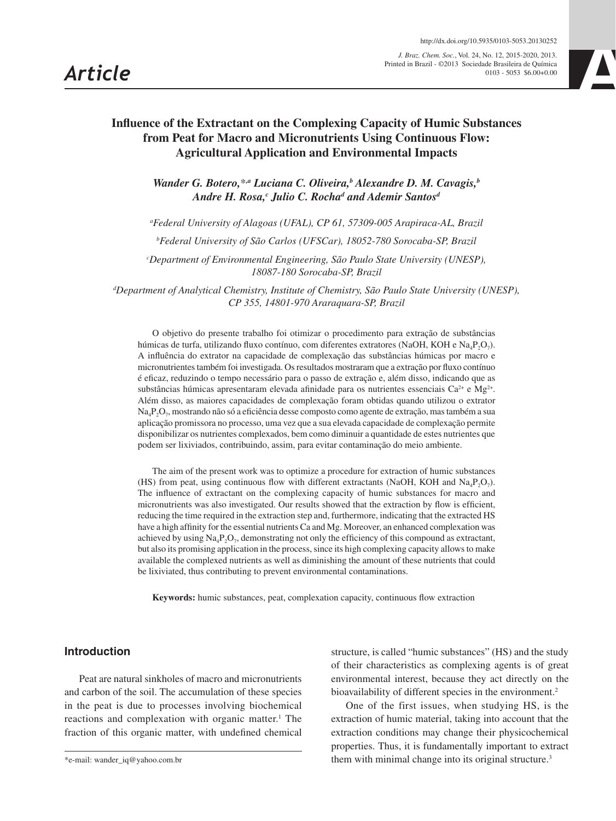*J. Braz. Chem. Soc.*, Vol. 24, No. 12, 2015-2020, 2013. Printed in Brazil - ©2013 Sociedade Brasileira de Química http://dx.doi.org/10.5935/0103-5053.20130252<br>
Chem. Soc., Vol. 24, No. 12, 2015-2020, 2013.<br>
razil - ©2013 Sociedade Brasileira de Química<br>
0103 - 5053 \$6.00+0.00



# **Influence of the Extractant on the Complexing Capacity of Humic Substances from Peat for Macro and Micronutrients Using Continuous Flow: Agricultural Application and Environmental Impacts**

Wander G. Botero,<sup>\*,a</sup> Luciana C. Oliveira,<sup>b</sup> Alexandre D. M. Cavagis,<sup>b</sup> Andre H. Rosa,<sup>c</sup> Julio C. Rocha<sup>d</sup> and Ademir Santos<sup>d</sup>

*a Federal University of Alagoas (UFAL), CP 61, 57309-005 Arapiraca-AL, Brazil*

*b Federal University of São Carlos (UFSCar), 18052-780 Sorocaba-SP, Brazil*

*c Department of Environmental Engineering, São Paulo State University (UNESP), 18087-180 Sorocaba-SP, Brazil*

*d Department of Analytical Chemistry, Institute of Chemistry, São Paulo State University (UNESP), CP 355, 14801-970 Araraquara-SP, Brazil*

O objetivo do presente trabalho foi otimizar o procedimento para extração de substâncias húmicas de turfa, utilizando fluxo contínuo, com diferentes extratores (NaOH, KOH e Na<sub>4</sub>P<sub>2</sub>O<sub>7</sub>). A influência do extrator na capacidade de complexação das substâncias húmicas por macro e micronutrientes também foi investigada. Os resultados mostraram que a extração por fluxo contínuo é eficaz, reduzindo o tempo necessário para o passo de extração e, além disso, indicando que as substâncias húmicas apresentaram elevada afinidade para os nutrientes essenciais Ca<sup>2+</sup> e Mg<sup>2+</sup>. Além disso, as maiores capacidades de complexação foram obtidas quando utilizou o extrator Na4P2O7, mostrando não só a eficiência desse composto como agente de extração, mas também a sua aplicação promissora no processo, uma vez que a sua elevada capacidade de complexação permite disponibilizar os nutrientes complexados, bem como diminuir a quantidade de estes nutrientes que podem ser lixiviados, contribuindo, assim, para evitar contaminação do meio ambiente.

The aim of the present work was to optimize a procedure for extraction of humic substances (HS) from peat, using continuous flow with different extractants (NaOH, KOH and Na<sub>4</sub>P<sub>2</sub>O<sub>7</sub>). The influence of extractant on the complexing capacity of humic substances for macro and micronutrients was also investigated. Our results showed that the extraction by flow is efficient, reducing the time required in the extraction step and, furthermore, indicating that the extracted HS have a high affinity for the essential nutrients Ca and Mg. Moreover, an enhanced complexation was achieved by using  $\text{Na}_4\text{P}_2\text{O}_7$ , demonstrating not only the efficiency of this compound as extractant, but also its promising application in the process, since its high complexing capacity allows to make available the complexed nutrients as well as diminishing the amount of these nutrients that could be lixiviated, thus contributing to prevent environmental contaminations.

**Keywords:** humic substances, peat, complexation capacity, continuous flow extraction

## **Introduction**

Peat are natural sinkholes of macro and micronutrients and carbon of the soil. The accumulation of these species in the peat is due to processes involving biochemical reactions and complexation with organic matter.<sup>1</sup> The fraction of this organic matter, with undefined chemical

structure, is called "humic substances" (HS) and the study of their characteristics as complexing agents is of great environmental interest, because they act directly on the bioavailability of different species in the environment.<sup>2</sup>

One of the first issues, when studying HS, is the extraction of humic material, taking into account that the extraction conditions may change their physicochemical properties. Thus, it is fundamentally important to extract them with minimal change into its original structure.<sup>3</sup>

<sup>\*</sup>e-mail: wander\_iq@yahoo.com.br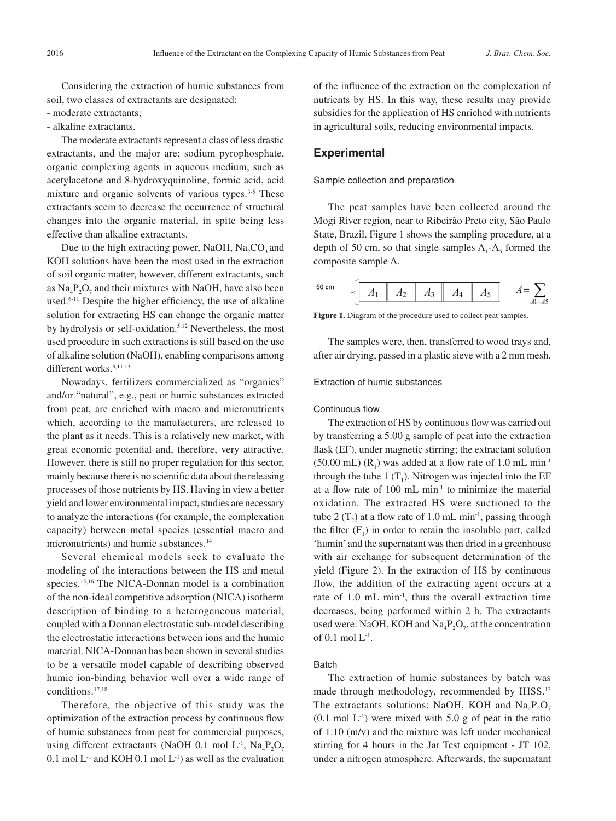Considering the extraction of humic substances from soil, two classes of extractants are designated:

- moderate extractants;
- alkaline extractants.

The moderate extractants represent a class of less drastic extractants, and the major are: sodium pyrophosphate, organic complexing agents in aqueous medium, such as acetylacetone and 8-hydroxyquinoline, formic acid, acid mixture and organic solvents of various types.<sup>3-5</sup> These extractants seem to decrease the occurrence of structural changes into the organic material, in spite being less effective than alkaline extractants.

Due to the high extracting power, NaOH,  $Na_2CO_3$  and KOH solutions have been the most used in the extraction of soil organic matter, however, different extractants, such as  $Na_4P_2O_7$  and their mixtures with NaOH, have also been used.<sup>6-11</sup> Despite the higher efficiency, the use of alkaline solution for extracting HS can change the organic matter by hydrolysis or self-oxidation.5,12 Nevertheless, the most used procedure in such extractions is still based on the use of alkaline solution (NaOH), enabling comparisons among different works.<sup>9,11,13</sup>

Nowadays, fertilizers commercialized as "organics" and/or "natural", e.g., peat or humic substances extracted from peat, are enriched with macro and micronutrients which, according to the manufacturers, are released to the plant as it needs. This is a relatively new market, with great economic potential and, therefore, very attractive. However, there is still no proper regulation for this sector, mainly because there is no scientific data about the releasing processes of those nutrients by HS. Having in view a better yield and lower environmental impact, studies are necessary to analyze the interactions (for example, the complexation capacity) between metal species (essential macro and micronutrients) and humic substances.<sup>14</sup>

Several chemical models seek to evaluate the modeling of the interactions between the HS and metal species.15,16 The NICA-Donnan model is a combination of the non-ideal competitive adsorption (NICA) isotherm description of binding to a heterogeneous material, coupled with a Donnan electrostatic sub-model describing the electrostatic interactions between ions and the humic material. NICA-Donnan has been shown in several studies to be a versatile model capable of describing observed humic ion-binding behavior well over a wide range of conditions.17,18

Therefore, the objective of this study was the optimization of the extraction process by continuous flow of humic substances from peat for commercial purposes, using different extractants (NaOH 0.1 mol L<sup>-1</sup>, Na<sub>4</sub>P<sub>2</sub>O<sub>7</sub> 0.1 mol  $L^{-1}$  and KOH 0.1 mol  $L^{-1}$ ) as well as the evaluation of the influence of the extraction on the complexation of nutrients by HS. In this way, these results may provide subsidies for the application of HS enriched with nutrients in agricultural soils, reducing environmental impacts.

### **Experimental**

Sample collection and preparation

The peat samples have been collected around the Mogi River region, near to Ribeirão Preto city, São Paulo State, Brazil. Figure 1 shows the sampling procedure, at a depth of 50 cm, so that single samples  $A_1 - A_5$  formed the composite sample A.



**Figure 1.** Diagram of the procedure used to collect peat samples.

The samples were, then, transferred to wood trays and, after air drying, passed in a plastic sieve with a 2 mm mesh.

Extraction of humic substances

#### Continuous flow

The extraction of HS by continuous flow was carried out by transferring a 5.00 g sample of peat into the extraction flask (EF), under magnetic stirring; the extractant solution  $(50.00 \text{ mL})$  (R<sub>1</sub>) was added at a flow rate of 1.0 mL min<sup>-1</sup> through the tube 1  $(T_1)$ . Nitrogen was injected into the EF at a flow rate of  $100 \text{ mL min}^{-1}$  to minimize the material oxidation. The extracted HS were suctioned to the tube  $2(T_2)$  at a flow rate of 1.0 mL min<sup>-1</sup>, passing through the filter  $(F_1)$  in order to retain the insoluble part, called 'humin' and the supernatant was then dried in a greenhouse with air exchange for subsequent determination of the yield (Figure 2). In the extraction of HS by continuous flow, the addition of the extracting agent occurs at a rate of 1.0 mL min-1, thus the overall extraction time decreases, being performed within 2 h. The extractants used were: NaOH, KOH and  $Na<sub>4</sub>P<sub>2</sub>O<sub>7</sub>$ , at the concentration of  $0.1$  mol  $L^{-1}$ .

#### Batch

The extraction of humic substances by batch was made through methodology, recommended by IHSS.<sup>13</sup> The extractants solutions: NaOH, KOH and  $\text{Na}_4\text{P}_2\text{O}_7$  $(0.1 \text{ mol L}^{-1})$  were mixed with 5.0 g of peat in the ratio of 1:10 (m/v) and the mixture was left under mechanical stirring for 4 hours in the Jar Test equipment - JT 102, under a nitrogen atmosphere. Afterwards, the supernatant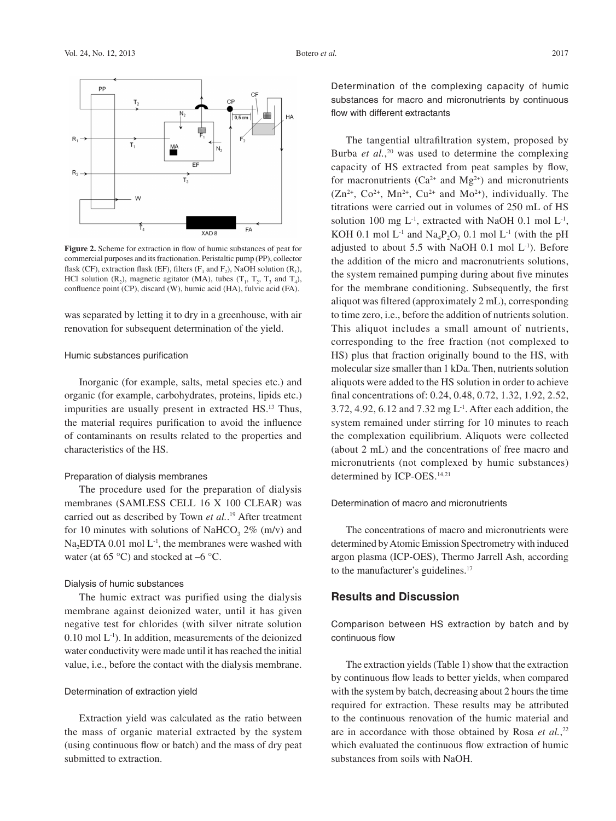

**Figure 2.** Scheme for extraction in flow of humic substances of peat for commercial purposes and its fractionation. Peristaltic pump (PP), collector flask (CF), extraction flask (EF), filters ( $F_1$  and  $F_2$ ), NaOH solution ( $R_1$ ), HCl solution  $(R_2)$ , magnetic agitator (MA), tubes  $(T_1, T_2, T_3, T_4)$ , confluence point (CP), discard (W), humic acid (HA), fulvic acid (FA).

was separated by letting it to dry in a greenhouse, with air renovation for subsequent determination of the yield.

#### Humic substances purification

Inorganic (for example, salts, metal species etc.) and organic (for example, carbohydrates, proteins, lipids etc.) impurities are usually present in extracted HS.13 Thus, the material requires purification to avoid the influence of contaminants on results related to the properties and characteristics of the HS.

### Preparation of dialysis membranes

The procedure used for the preparation of dialysis membranes (SAMLESS CELL 16 X 100 CLEAR) was carried out as described by Town *et al.*. 19 After treatment for 10 minutes with solutions of NaHCO<sub>3</sub> 2% (m/v) and Na<sub>2</sub>EDTA 0.01 mol  $L^{-1}$ , the membranes were washed with water (at  $65^{\circ}$ C) and stocked at  $-6^{\circ}$ C.

## Dialysis of humic substances

The humic extract was purified using the dialysis membrane against deionized water, until it has given negative test for chlorides (with silver nitrate solution  $0.10$  mol  $L^{-1}$ ). In addition, measurements of the deionized water conductivity were made until it has reached the initial value, i.e., before the contact with the dialysis membrane.

#### Determination of extraction yield

Extraction yield was calculated as the ratio between the mass of organic material extracted by the system (using continuous flow or batch) and the mass of dry peat submitted to extraction.

Determination of the complexing capacity of humic substances for macro and micronutrients by continuous flow with different extractants

The tangential ultrafiltration system, proposed by Burba *et al.*,<sup>20</sup> was used to determine the complexing capacity of HS extracted from peat samples by flow, for macronutrients ( $Ca^{2+}$  and  $Mg^{2+}$ ) and micronutrients  $(Zn^{2+}, Co^{2+}, Mn^{2+}, Cu^{2+}$  and  $Mo^{2+})$ , individually. The titrations were carried out in volumes of 250 mL of HS solution 100 mg  $L^{-1}$ , extracted with NaOH 0.1 mol  $L^{-1}$ , KOH 0.1 mol  $L^{-1}$  and Na<sub>4</sub>P<sub>2</sub>O<sub>7</sub> 0.1 mol  $L^{-1}$  (with the pH adjusted to about 5.5 with NaOH 0.1 mol  $L^{-1}$ ). Before the addition of the micro and macronutrients solutions, the system remained pumping during about five minutes for the membrane conditioning. Subsequently, the first aliquot was filtered (approximately 2 mL), corresponding to time zero, i.e., before the addition of nutrients solution. This aliquot includes a small amount of nutrients, corresponding to the free fraction (not complexed to HS) plus that fraction originally bound to the HS, with molecular size smaller than 1 kDa. Then, nutrients solution aliquots were added to the HS solution in order to achieve final concentrations of: 0.24, 0.48, 0.72, 1.32, 1.92, 2.52, 3.72, 4.92, 6.12 and 7.32 mg L-1. After each addition, the system remained under stirring for 10 minutes to reach the complexation equilibrium. Aliquots were collected (about 2 mL) and the concentrations of free macro and micronutrients (not complexed by humic substances) determined by ICP-OES.<sup>14,21</sup>

#### Determination of macro and micronutrients

The concentrations of macro and micronutrients were determined by Atomic Emission Spectrometry with induced argon plasma (ICP-OES), Thermo Jarrell Ash, according to the manufacturer's guidelines.17

## **Results and Discussion**

Comparison between HS extraction by batch and by continuous flow

The extraction yields (Table 1) show that the extraction by continuous flow leads to better yields, when compared with the system by batch, decreasing about 2 hours the time required for extraction. These results may be attributed to the continuous renovation of the humic material and are in accordance with those obtained by Rosa *et al.*,<sup>22</sup> which evaluated the continuous flow extraction of humic substances from soils with NaOH.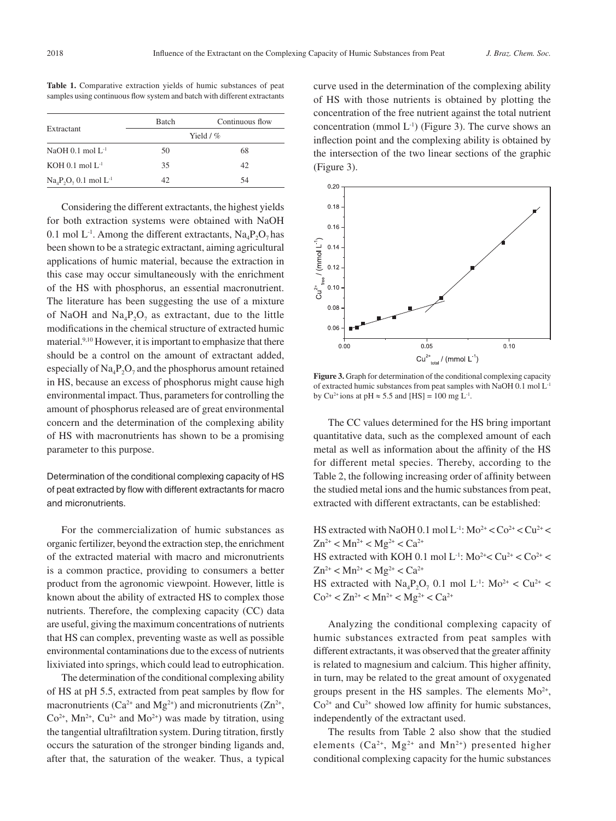|                                   | <b>Batch</b> | Continuous flow |  |  |  |
|-----------------------------------|--------------|-----------------|--|--|--|
| Extractant                        | Yield $/$ %  |                 |  |  |  |
| NaOH 0.1 mol $L^{-1}$             | 50           | 68              |  |  |  |
| $KOH$ 0.1 mol $L^{-1}$            | 35           | 42              |  |  |  |
| $Na4P2O7 0.1$ mol L <sup>-1</sup> | 42           | 54              |  |  |  |

**Table 1.** Comparative extraction yields of humic substances of peat samples using continuous flow system and batch with different extractants

Considering the different extractants, the highest yields for both extraction systems were obtained with NaOH 0.1 mol  $L^{-1}$ . Among the different extractants,  $Na_4P_2O_7$  has been shown to be a strategic extractant, aiming agricultural applications of humic material, because the extraction in this case may occur simultaneously with the enrichment of the HS with phosphorus, an essential macronutrient. The literature has been suggesting the use of a mixture of NaOH and Na<sub>4</sub>P<sub>2</sub>O<sub>7</sub> as extractant, due to the little modifications in the chemical structure of extracted humic material.<sup>9,10</sup> However, it is important to emphasize that there should be a control on the amount of extractant added, especially of  $\text{Na}_4\text{P}_2\text{O}_7$  and the phosphorus amount retained in HS, because an excess of phosphorus might cause high environmental impact. Thus, parameters for controlling the amount of phosphorus released are of great environmental concern and the determination of the complexing ability of HS with macronutrients has shown to be a promising parameter to this purpose.

Determination of the conditional complexing capacity of HS of peat extracted by flow with different extractants for macro and micronutrients.

For the commercialization of humic substances as organic fertilizer, beyond the extraction step, the enrichment of the extracted material with macro and micronutrients is a common practice, providing to consumers a better product from the agronomic viewpoint. However, little is known about the ability of extracted HS to complex those nutrients. Therefore, the complexing capacity (CC) data are useful, giving the maximum concentrations of nutrients that HS can complex, preventing waste as well as possible environmental contaminations due to the excess of nutrients lixiviated into springs, which could lead to eutrophication.

The determination of the conditional complexing ability of HS at pH 5.5, extracted from peat samples by flow for macronutrients ( $Ca^{2+}$  and  $Mg^{2+}$ ) and micronutrients ( $Zn^{2+}$ ,  $Co<sup>2+</sup>, Mn<sup>2+</sup>, Cu<sup>2+</sup> and Mo<sup>2+</sup>)$  was made by titration, using the tangential ultrafiltration system. During titration, firstly occurs the saturation of the stronger binding ligands and, after that, the saturation of the weaker. Thus, a typical curve used in the determination of the complexing ability of HS with those nutrients is obtained by plotting the concentration of the free nutrient against the total nutrient concentration (mmol  $L^{-1}$ ) (Figure 3). The curve shows an inflection point and the complexing ability is obtained by the intersection of the two linear sections of the graphic (Figure 3).



Figure 3. Graph for determination of the conditional complexing capacity of extracted humic substances from peat samples with NaOH 0.1 mol L-1 by Cu<sup>2+</sup> ions at pH  $\approx$  5.5 and [HS] = 100 mg L<sup>-1</sup>.

The CC values determined for the HS bring important quantitative data, such as the complexed amount of each metal as well as information about the affinity of the HS for different metal species. Thereby, according to the Table 2, the following increasing order of affinity between the studied metal ions and the humic substances from peat, extracted with different extractants, can be established:

HS extracted with NaOH 0.1 mol L<sup>-1</sup>:  $Mo^{2+} < Co^{2+} < Cu^{2+} <$  $Zn^{2+} < Mn^{2+} < Mg^{2+} < Ca^{2+}$ 

HS extracted with KOH 0.1 mol L<sup>-1</sup>: Mo<sup>2+</sup> < Cu<sup>2+</sup> < Co<sup>2+</sup> <  $Zn^{2+} < Mn^{2+} < Mg^{2+} < Ca^{2+}$ HS extracted with  $Na_4P_2O_7$  0.1 mol L<sup>-1</sup>:  $Mo^{2+} < Cu^{2+} <$  $Co^{2+} < Zn^{2+} < Mn^{2+} < Mg^{2+} < Ca^{2+}$ 

Analyzing the conditional complexing capacity of humic substances extracted from peat samples with different extractants, it was observed that the greater affinity is related to magnesium and calcium. This higher affinity, in turn, may be related to the great amount of oxygenated groups present in the HS samples. The elements  $Mo^{2+}$ ,  $Co<sup>2+</sup>$  and  $Cu<sup>2+</sup>$  showed low affinity for humic substances, independently of the extractant used.

The results from Table 2 also show that the studied elements ( $Ca^{2+}$ , Mg<sup>2+</sup> and Mn<sup>2+</sup>) presented higher conditional complexing capacity for the humic substances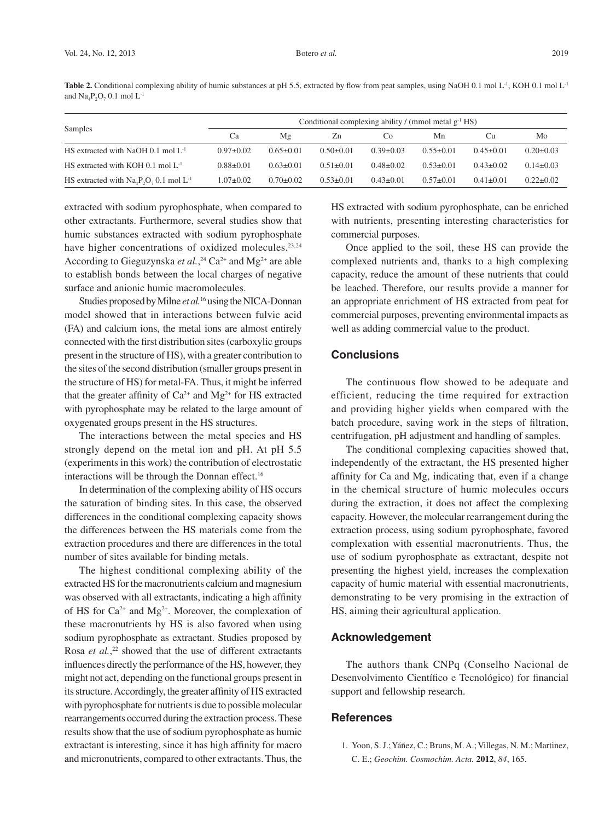Table 2. Conditional complexing ability of humic substances at pH 5.5, extracted by flow from peat samples, using NaOH 0.1 mol L<sup>-1</sup>, KOH 0.1 mol L<sup>-1</sup> and  $\text{Na}_4\text{P}_2\text{O}_7$  0.1 mol  $\text{L}^{-1}$ 

| Samples                                         | Conditional complexing ability / (mmol metal $g^{-1}$ HS) |                 |                 |                 |                 |                 |                 |  |
|-------------------------------------------------|-----------------------------------------------------------|-----------------|-----------------|-----------------|-----------------|-----------------|-----------------|--|
|                                                 | Ca                                                        | Μg              | Zn              | C <sub>0</sub>  | Mn              | Cu              | Mo              |  |
| HS extracted with NaOH $0.1$ mol $L^{-1}$       | $0.97 \pm 0.02$                                           | $0.65 + 0.01$   | $0.50 \pm 0.01$ | $0.39 \pm 0.03$ | $0.55+0.01$     | $0.45 \pm 0.01$ | $0.20 \pm 0.03$ |  |
| HS extracted with KOH 0.1 mol $L^{-1}$          | $0.88 \pm 0.01$                                           | $0.63 \pm 0.01$ | $0.51 \pm 0.01$ | $0.48 \pm 0.02$ | $0.53 + 0.01$   | $0.43 \pm 0.02$ | $0.14 \pm 0.03$ |  |
| HS extracted with $Na_4P_2O_7 0.1$ mol $L^{-1}$ | $1.07 \pm 0.02$                                           | $0.70 \pm 0.02$ | $0.53 \pm 0.01$ | $0.43 \pm 0.01$ | $0.57 \pm 0.01$ | $0.41 \pm 0.01$ | $0.22 \pm 0.02$ |  |

extracted with sodium pyrophosphate, when compared to other extractants. Furthermore, several studies show that humic substances extracted with sodium pyrophosphate have higher concentrations of oxidized molecules.<sup>23,24</sup> According to Gieguzynska *et al.*,<sup>24</sup> Ca<sup>2+</sup> and Mg<sup>2+</sup> are able to establish bonds between the local charges of negative surface and anionic humic macromolecules.

Studies proposed by Milne *et al.*16 using the NICA-Donnan model showed that in interactions between fulvic acid (FA) and calcium ions, the metal ions are almost entirely connected with the first distribution sites (carboxylic groups present in the structure of HS), with a greater contribution to the sites of the second distribution (smaller groups present in the structure of HS) for metal-FA. Thus, it might be inferred that the greater affinity of  $Ca^{2+}$  and  $Mg^{2+}$  for HS extracted with pyrophosphate may be related to the large amount of oxygenated groups present in the HS structures.

The interactions between the metal species and HS strongly depend on the metal ion and pH. At pH 5.5 (experiments in this work) the contribution of electrostatic interactions will be through the Donnan effect.<sup>16</sup>

In determination of the complexing ability of HS occurs the saturation of binding sites. In this case, the observed differences in the conditional complexing capacity shows the differences between the HS materials come from the extraction procedures and there are differences in the total number of sites available for binding metals.

The highest conditional complexing ability of the extracted HS for the macronutrients calcium and magnesium was observed with all extractants, indicating a high affinity of HS for  $Ca^{2+}$  and  $Mg^{2+}$ . Moreover, the complexation of these macronutrients by HS is also favored when using sodium pyrophosphate as extractant. Studies proposed by Rosa *et al.*, 22 showed that the use of different extractants influences directly the performance of the HS, however, they might not act, depending on the functional groups present in its structure. Accordingly, the greater affinity of HS extracted with pyrophosphate for nutrients is due to possible molecular rearrangements occurred during the extraction process. These results show that the use of sodium pyrophosphate as humic extractant is interesting, since it has high affinity for macro and micronutrients, compared to other extractants. Thus, the

HS extracted with sodium pyrophosphate, can be enriched with nutrients, presenting interesting characteristics for commercial purposes.

Once applied to the soil, these HS can provide the complexed nutrients and, thanks to a high complexing capacity, reduce the amount of these nutrients that could be leached. Therefore, our results provide a manner for an appropriate enrichment of HS extracted from peat for commercial purposes, preventing environmental impacts as well as adding commercial value to the product.

## **Conclusions**

The continuous flow showed to be adequate and efficient, reducing the time required for extraction and providing higher yields when compared with the batch procedure, saving work in the steps of filtration, centrifugation, pH adjustment and handling of samples.

The conditional complexing capacities showed that, independently of the extractant, the HS presented higher affinity for Ca and Mg, indicating that, even if a change in the chemical structure of humic molecules occurs during the extraction, it does not affect the complexing capacity. However, the molecular rearrangement during the extraction process, using sodium pyrophosphate, favored complexation with essential macronutrients. Thus, the use of sodium pyrophosphate as extractant, despite not presenting the highest yield, increases the complexation capacity of humic material with essential macronutrients, demonstrating to be very promising in the extraction of HS, aiming their agricultural application.

## **Acknowledgement**

The authors thank CNPq (Conselho Nacional de Desenvolvimento Científico e Tecnológico) for financial support and fellowship research.

## **References**

1. Yoon, S. J.; Yáñez, C.; Bruns, M. A.; Villegas, N. M.; Martinez, C. E.; *Geochim. Cosmochim. Acta.* **2012**, *84*, 165.